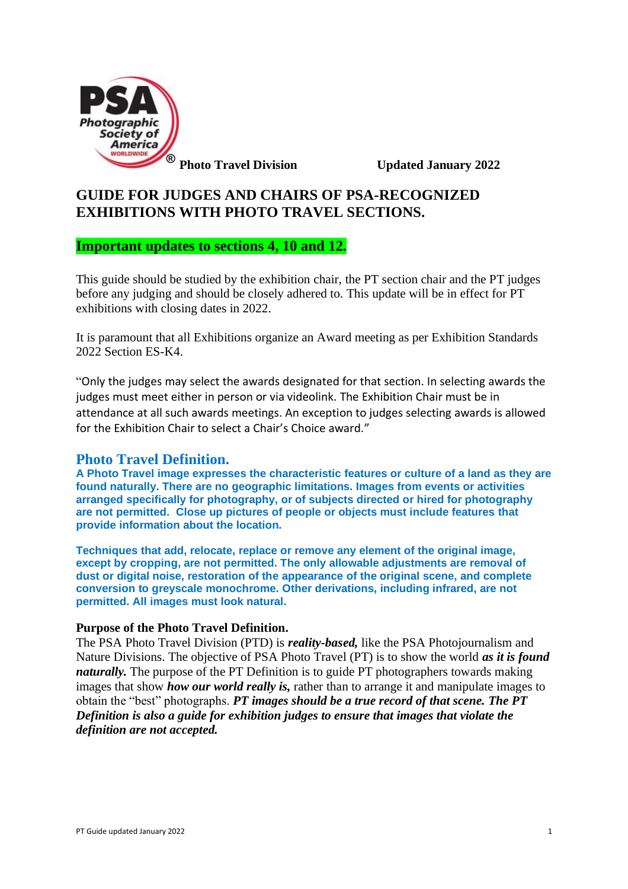

**Photo Travel Division** Updated January 2022

# **GUIDE FOR JUDGES AND CHAIRS OF PSA-RECOGNIZED EXHIBITIONS WITH PHOTO TRAVEL SECTIONS.**

#### **Important updates to sections 4, 10 and 12.**

This guide should be studied by the exhibition chair, the PT section chair and the PT judges before any judging and should be closely adhered to. This update will be in effect for PT exhibitions with closing dates in 2022.

It is paramount that all Exhibitions organize an Award meeting as per Exhibition Standards 2022 Section ES-K4.

"Only the judges may select the awards designated for that section. In selecting awards the judges must meet either in person or via videolink. The Exhibition Chair must be in attendance at all such awards meetings. An exception to judges selecting awards is allowed for the Exhibition Chair to select a Chair's Choice award."

### **Photo Travel Definition.**

**A Photo Travel image expresses the characteristic features or culture of a land as they are found naturally. There are no geographic limitations. Images from events or activities arranged specifically for photography, or of subjects directed or hired for photography are not permitted. Close up pictures of people or objects must include features that provide information about the location.**

**Techniques that add, relocate, replace or remove any element of the original image, except by cropping, are not permitted. The only allowable adjustments are removal of dust or digital noise, restoration of the appearance of the original scene, and complete conversion to greyscale monochrome. Other derivations, including infrared, are not permitted. All images must look natural.**

#### **Purpose of the Photo Travel Definition.**

The PSA Photo Travel Division (PTD) is *reality-based,* like the PSA Photojournalism and Nature Divisions. The objective of PSA Photo Travel (PT) is to show the world *as it is found naturally*. The purpose of the PT Definition is to guide PT photographers towards making images that show *how our world really is,* rather than to arrange it and manipulate images to obtain the "best" photographs. *PT images should be a true record of that scene. The PT Definition is also a guide for exhibition judges to ensure that images that violate the definition are not accepted.*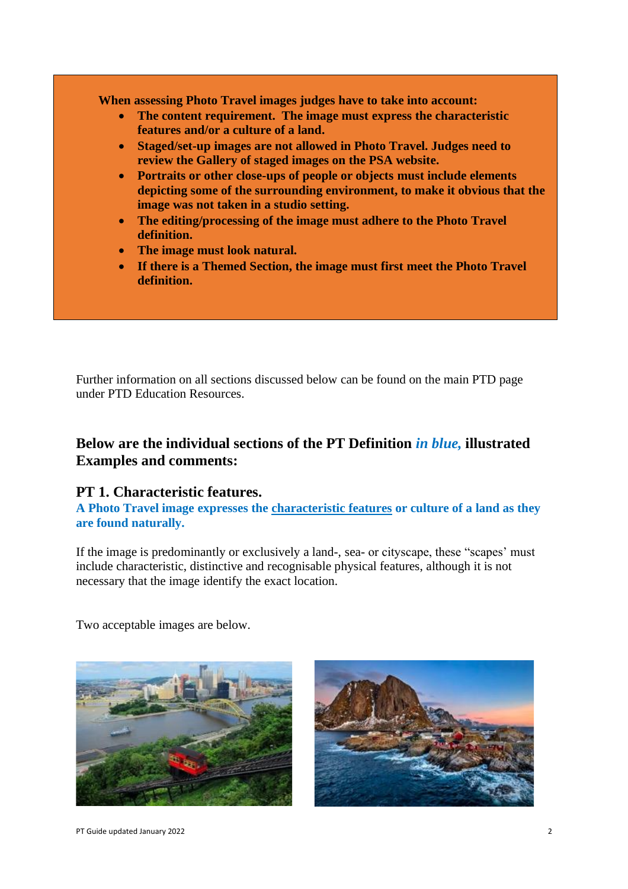**When assessing Photo Travel images judges have to take into account:**

- **The content requirement. The image must express the characteristic features and/or a culture of a land.**
- **Staged/set-up images are not allowed in Photo Travel. Judges need to review the Gallery of staged images on the PSA website.**
- **Portraits or other close-ups of people or objects must include elements depicting some of the surrounding environment, to make it obvious that the image was not taken in a studio setting.**
- **The editing/processing of the image must adhere to the Photo Travel definition.**
- **The image must look natural.**
- **If there is a Themed Section, the image must first meet the Photo Travel definition.**

Further information on all sections discussed below can be found on the main PTD page under PTD Education Resources.

## **Below are the individual sections of the PT Definition** *in blue,* **illustrated Examples and comments:**

### **PT 1. Characteristic features.**

**A Photo Travel image expresses the characteristic features or culture of a land as they are found naturally.**

If the image is predominantly or exclusively a land-, sea- or cityscape, these "scapes' must include characteristic, distinctive and recognisable physical features, although it is not necessary that the image identify the exact location.

Two acceptable images are below.



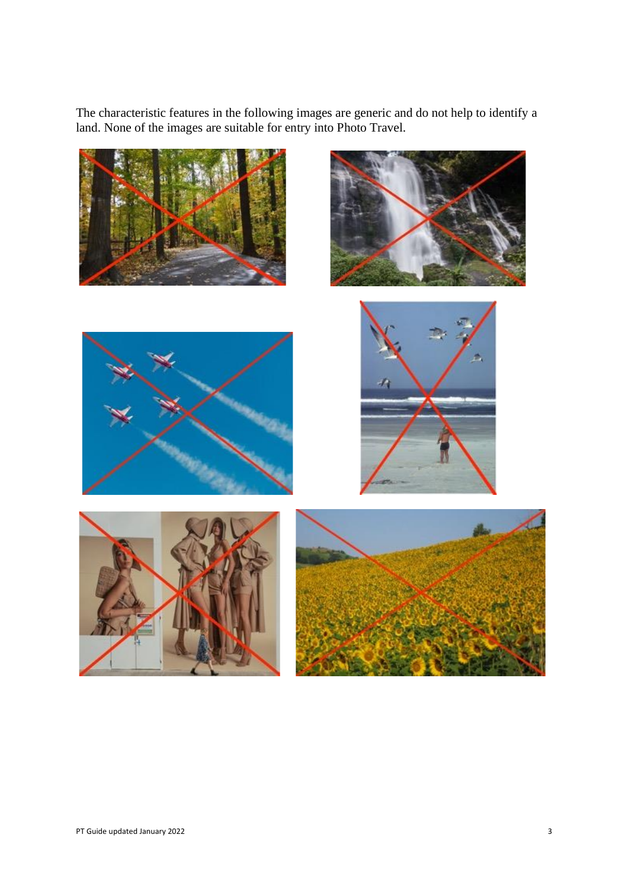The characteristic features in the following images are generic and do not help to identify a land. None of the images are suitable for entry into Photo Travel.

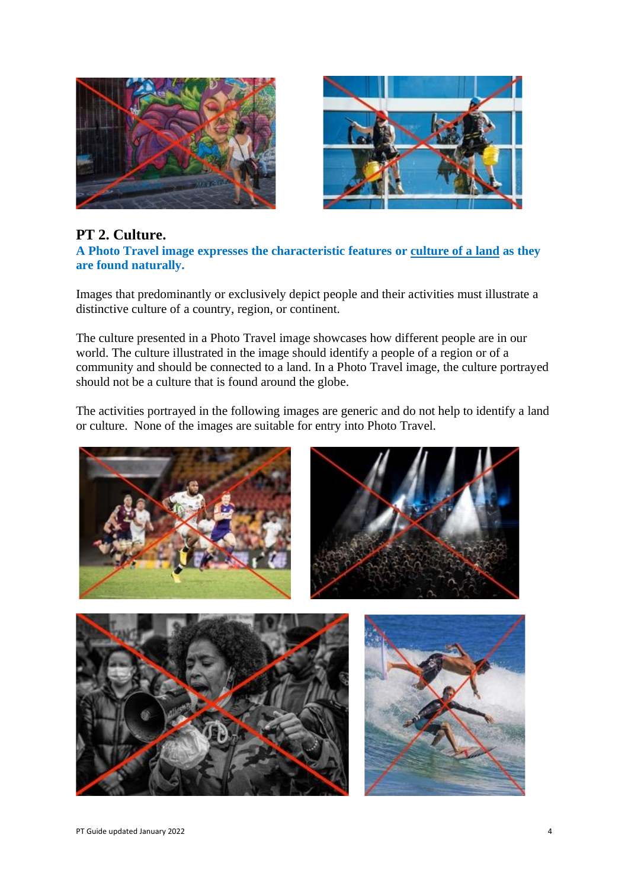



### **PT 2. Culture.**

**A Photo Travel image expresses the characteristic features or culture of a land as they are found naturally.**

Images that predominantly or exclusively depict people and their activities must illustrate a distinctive culture of a country, region, or continent.

The culture presented in a Photo Travel image showcases how different people are in our world. The culture illustrated in the image should identify a people of a region or of a community and should be connected to a land. In a Photo Travel image, the culture portrayed should not be a culture that is found around the globe.

The activities portrayed in the following images are generic and do not help to identify a land or culture. None of the images are suitable for entry into Photo Travel.

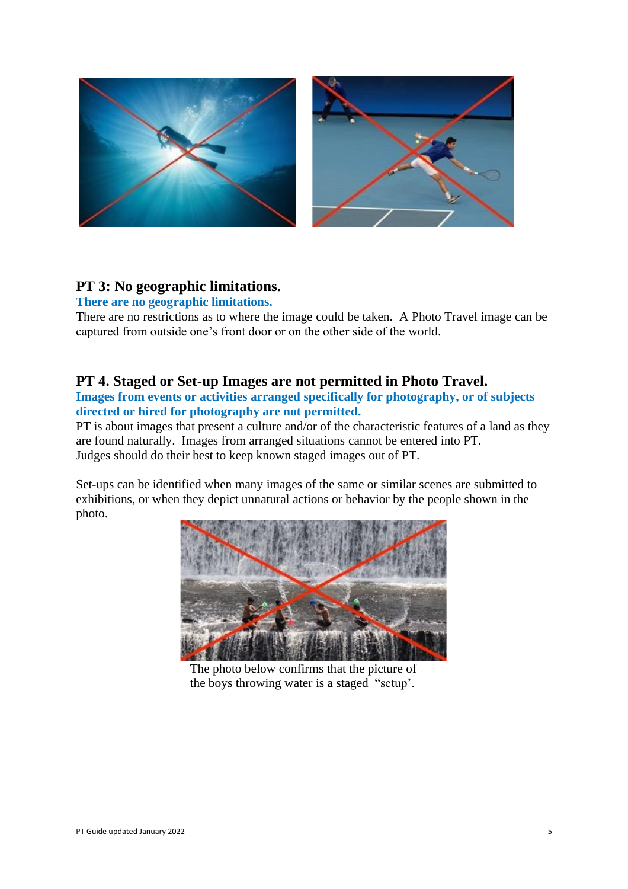

### **PT 3: No geographic limitations.**

#### **There are no geographic limitations.**

There are no restrictions as to where the image could be taken. A Photo Travel image can be captured from outside one's front door or on the other side of the world.

## **PT 4. Staged or Set-up Images are not permitted in Photo Travel.**

**Images from events or activities arranged specifically for photography, or of subjects directed or hired for photography are not permitted.**

PT is about images that present a culture and/or of the characteristic features of a land as they are found naturally. Images from arranged situations cannot be entered into PT. Judges should do their best to keep known staged images out of PT.

Set-ups can be identified when many images of the same or similar scenes are submitted to exhibitions, or when they depict unnatural actions or behavior by the people shown in the photo.



The photo below confirms that the picture of the boys throwing water is a staged "setup'.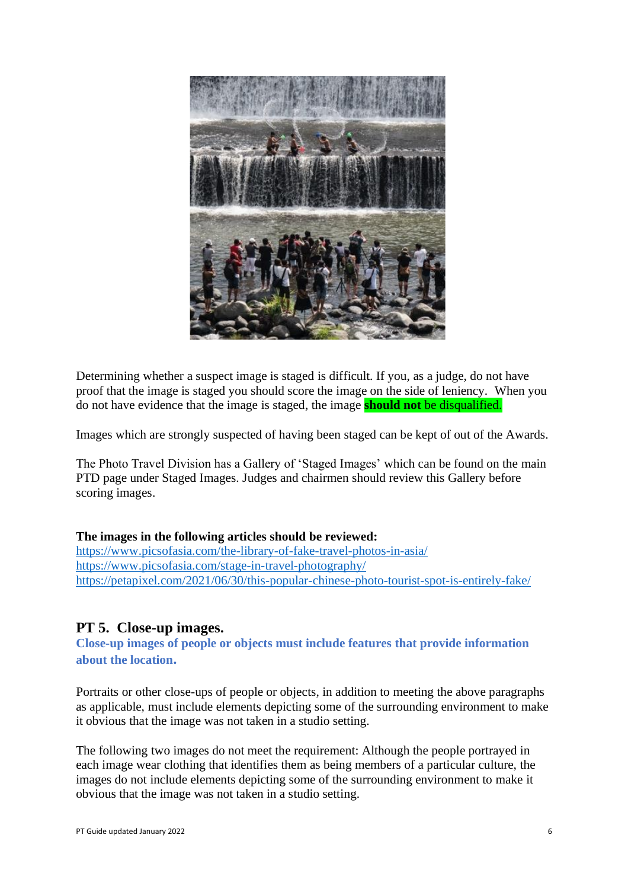

Determining whether a suspect image is staged is difficult. If you, as a judge, do not have proof that the image is staged you should score the image on the side of leniency. When you do not have evidence that the image is staged, the image **should not** be disqualified.

Images which are strongly suspected of having been staged can be kept of out of the Awards.

The Photo Travel Division has a Gallery of 'Staged Images' which can be found on the main PTD page under Staged Images. Judges and chairmen should review this Gallery before scoring images.

#### **The images in the following articles should be reviewed:**

<https://www.picsofasia.com/the-library-of-fake-travel-photos-in-asia/> <https://www.picsofasia.com/stage-in-travel-photography/> <https://petapixel.com/2021/06/30/this-popular-chinese-photo-tourist-spot-is-entirely-fake/>

#### **PT 5. Close-up images.**

**Close-up images of people or objects must include features that provide information about the location.** 

Portraits or other close-ups of people or objects, in addition to meeting the above paragraphs as applicable, must include elements depicting some of the surrounding environment to make it obvious that the image was not taken in a studio setting.

The following two images do not meet the requirement: Although the people portrayed in each image wear clothing that identifies them as being members of a particular culture, the images do not include elements depicting some of the surrounding environment to make it obvious that the image was not taken in a studio setting.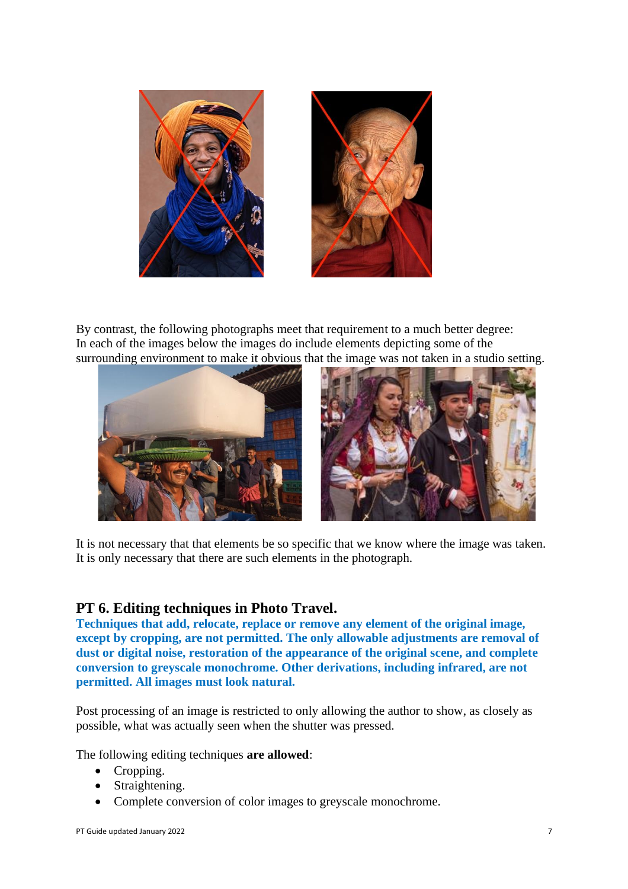

By contrast, the following photographs meet that requirement to a much better degree: In each of the images below the images do include elements depicting some of the surrounding environment to make it obvious that the image was not taken in a studio setting.



It is not necessary that that elements be so specific that we know where the image was taken. It is only necessary that there are such elements in the photograph.

### **PT 6. Editing techniques in Photo Travel.**

**Techniques that add, relocate, replace or remove any element of the original image, except by cropping, are not permitted. The only allowable adjustments are removal of dust or digital noise, restoration of the appearance of the original scene, and complete conversion to greyscale monochrome. Other derivations, including infrared, are not permitted. All images must look natural.**

Post processing of an image is restricted to only allowing the author to show, as closely as possible, what was actually seen when the shutter was pressed.

The following editing techniques **are allowed**:

- Cropping.
- Straightening.
- Complete conversion of color images to greyscale monochrome.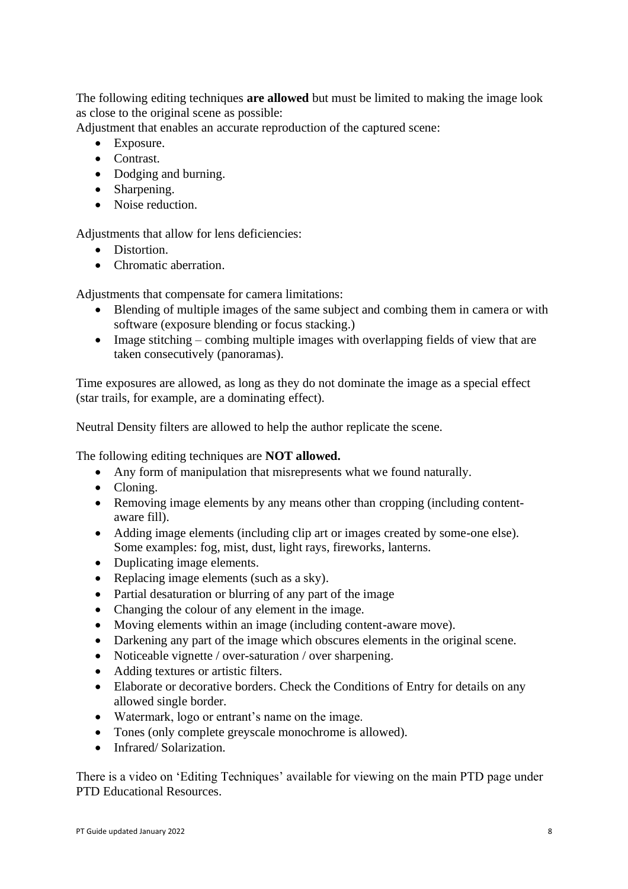The following editing techniques **are allowed** but must be limited to making the image look as close to the original scene as possible:

Adjustment that enables an accurate reproduction of the captured scene:

- Exposure.
- Contrast.
- Dodging and burning.
- Sharpening.
- Noise reduction.

Adjustments that allow for lens deficiencies:

- Distortion.
- Chromatic aberration

Adjustments that compensate for camera limitations:

- Blending of multiple images of the same subject and combing them in camera or with software (exposure blending or focus stacking.)
- Image stitching combing multiple images with overlapping fields of view that are taken consecutively (panoramas).

Time exposures are allowed, as long as they do not dominate the image as a special effect (star trails, for example, are a dominating effect).

Neutral Density filters are allowed to help the author replicate the scene.

The following editing techniques are **NOT allowed.**

- Any form of manipulation that misrepresents what we found naturally.
- Cloning.
- Removing image elements by any means other than cropping (including contentaware fill).
- Adding image elements (including clip art or images created by some-one else). Some examples: fog, mist, dust, light rays, fireworks, lanterns.
- Duplicating image elements.
- Replacing image elements (such as a sky).
- Partial desaturation or blurring of any part of the image
- Changing the colour of any element in the image.
- Moving elements within an image (including content-aware move).
- Darkening any part of the image which obscures elements in the original scene.
- Noticeable vignette / over-saturation / over sharpening.
- Adding textures or artistic filters.
- Elaborate or decorative borders. Check the Conditions of Entry for details on any allowed single border.
- Watermark, logo or entrant's name on the image.
- Tones (only complete greyscale monochrome is allowed).
- Infrared/Solarization.

There is a video on 'Editing Techniques' available for viewing on the main PTD page under PTD Educational Resources.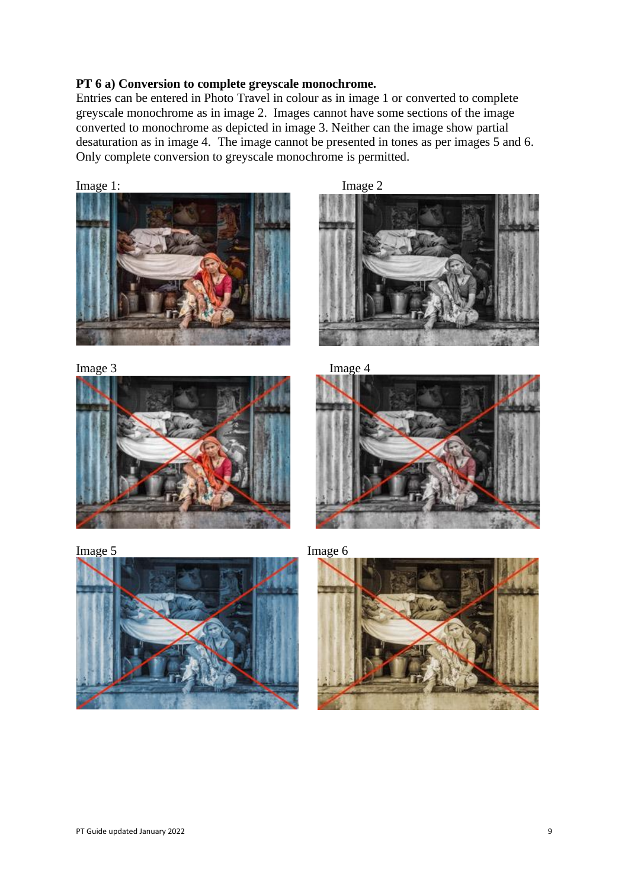#### **PT 6 a) Conversion to complete greyscale monochrome.**

Entries can be entered in Photo Travel in colour as in image 1 or converted to complete greyscale monochrome as in image 2. Images cannot have some sections of the image converted to monochrome as depicted in image 3. Neither can the image show partial desaturation as in image 4. The image cannot be presented in tones as per images 5 and 6. Only complete conversion to greyscale monochrome is permitted.

Image 1: Image 2  $\overline{\phantom{a}}$ 









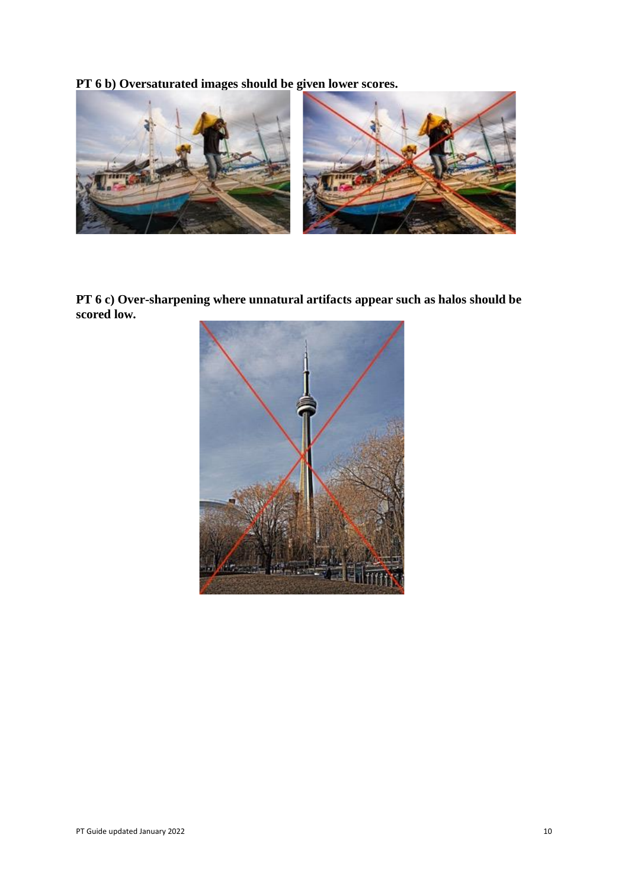**PT 6 b) Oversaturated images should be given lower scores.** 



**PT 6 c) Over-sharpening where unnatural artifacts appear such as halos should be scored low.**

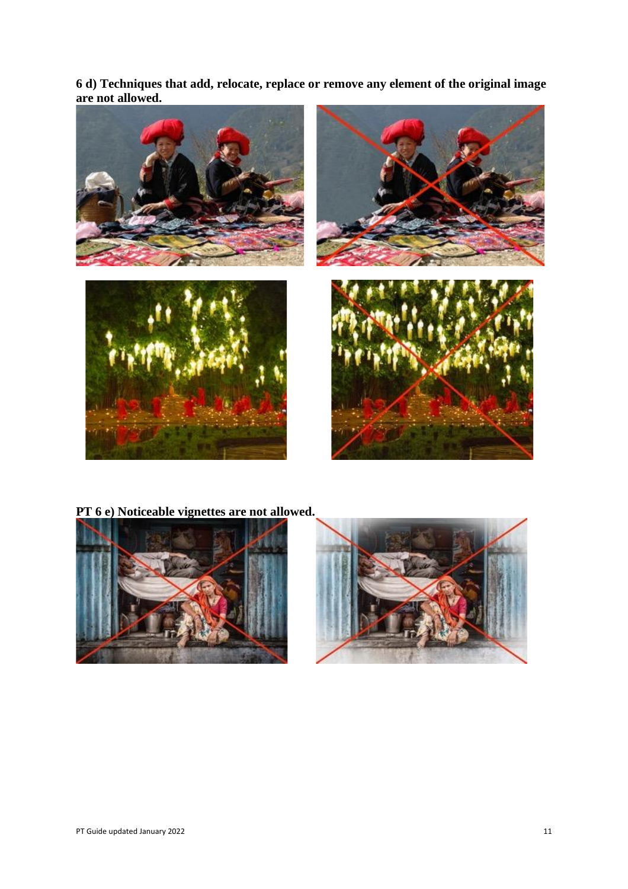**6 d) Techniques that add, relocate, replace or remove any element of the original image are not allowed.**



**PT 6 e) Noticeable vignettes are not allowed.**



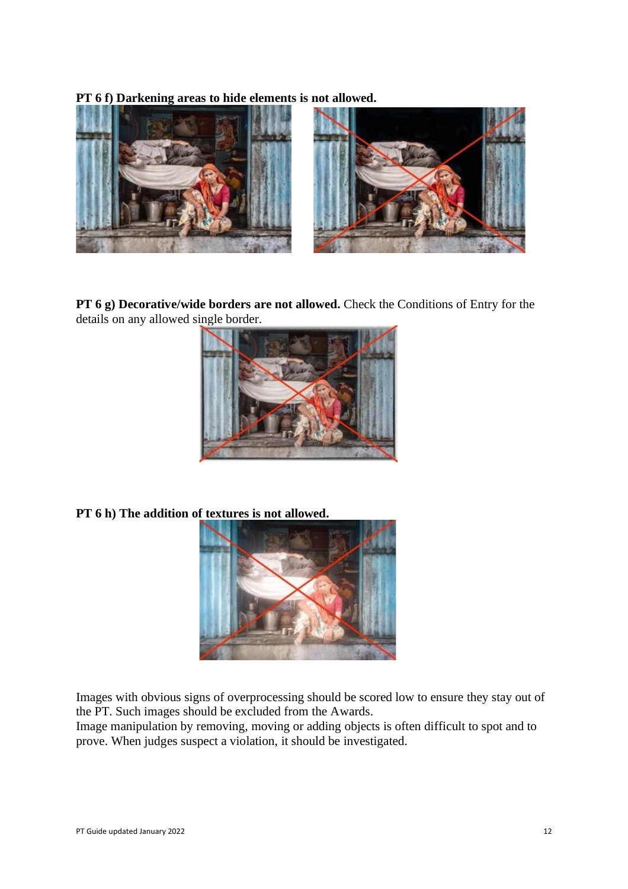**PT 6 f) Darkening areas to hide elements is not allowed.**



**PT 6 g) Decorative/wide borders are not allowed.** Check the Conditions of Entry for the details on any allowed single border.



**PT 6 h) The addition of textures is not allowed.**



Images with obvious signs of overprocessing should be scored low to ensure they stay out of the PT. Such images should be excluded from the Awards.

Image manipulation by removing, moving or adding objects is often difficult to spot and to prove. When judges suspect a violation, it should be investigated.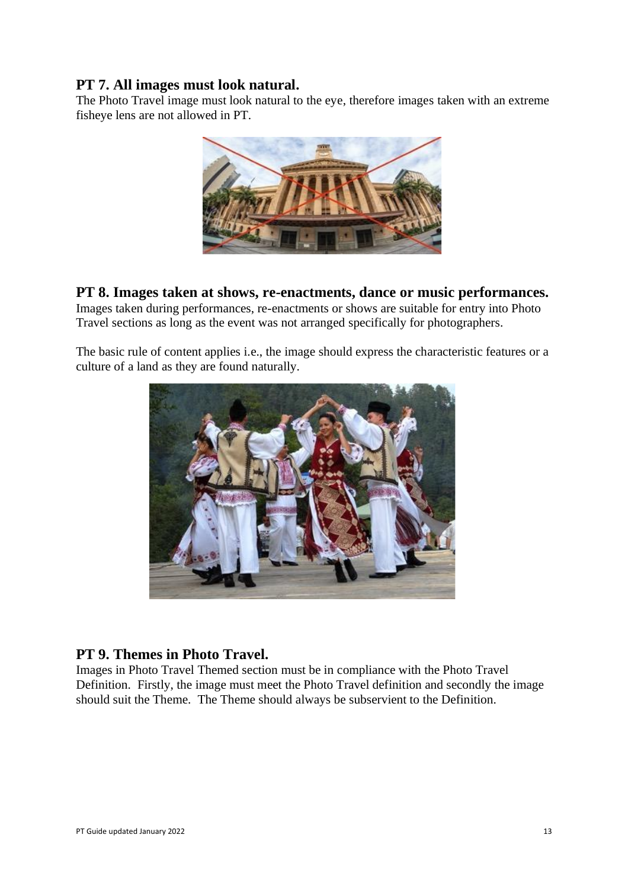### **PT 7. All images must look natural.**

The Photo Travel image must look natural to the eye, therefore images taken with an extreme fisheye lens are not allowed in PT.



### **PT 8. Images taken at shows, re-enactments, dance or music performances.**

Images taken during performances, re-enactments or shows are suitable for entry into Photo Travel sections as long as the event was not arranged specifically for photographers.

The basic rule of content applies i.e., the image should express the characteristic features or a culture of a land as they are found naturally.



### **PT 9. Themes in Photo Travel.**

Images in Photo Travel Themed section must be in compliance with the Photo Travel Definition. Firstly, the image must meet the Photo Travel definition and secondly the image should suit the Theme. The Theme should always be subservient to the Definition.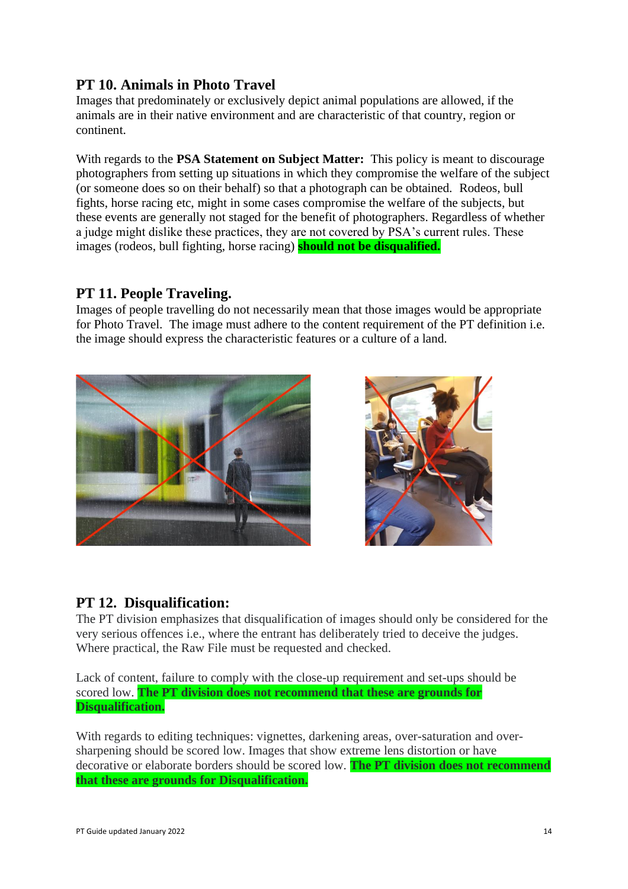# **PT 10. Animals in Photo Travel**

Images that predominately or exclusively depict animal populations are allowed, if the animals are in their native environment and are characteristic of that country, region or continent.

With regards to the **PSA Statement on Subject Matter:** This policy is meant to discourage photographers from setting up situations in which they compromise the welfare of the subject (or someone does so on their behalf) so that a photograph can be obtained. Rodeos, bull fights, horse racing etc, might in some cases compromise the welfare of the subjects, but these events are generally not staged for the benefit of photographers. Regardless of whether a judge might dislike these practices, they are not covered by PSA's current rules. These images (rodeos, bull fighting, horse racing) **should not be disqualified.**

## **PT 11. People Traveling.**

Images of people travelling do not necessarily mean that those images would be appropriate for Photo Travel. The image must adhere to the content requirement of the PT definition i.e. the image should express the characteristic features or a culture of a land.





# **PT 12. Disqualification:**

The PT division emphasizes that disqualification of images should only be considered for the very serious offences i.e., where the entrant has deliberately tried to deceive the judges. Where practical, the Raw File must be requested and checked.

Lack of content, failure to comply with the close-up requirement and set-ups should be scored low. **The PT division does not recommend that these are grounds for Disqualification.**

With regards to editing techniques: vignettes, darkening areas, over-saturation and oversharpening should be scored low. Images that show extreme lens distortion or have decorative or elaborate borders should be scored low. **The PT division does not recommend that these are grounds for Disqualification.**